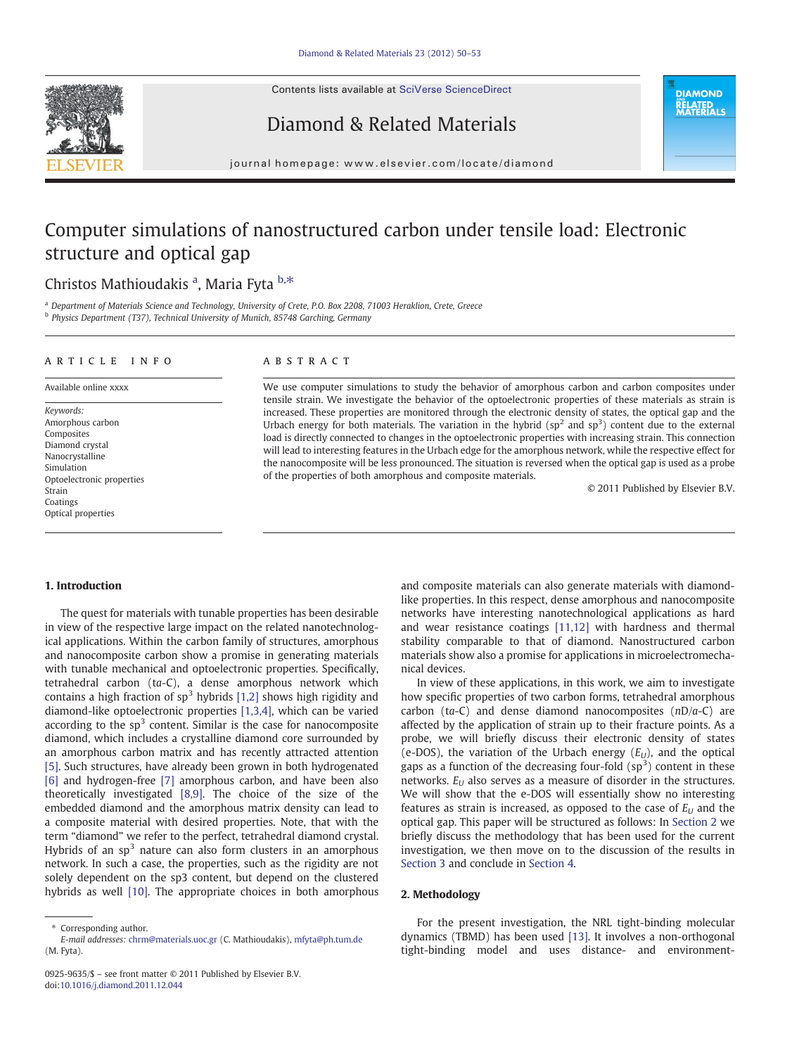Contents lists available at [SciVerse ScienceDirect](http://www.sciencedirect.com/science/journal/09259635)







journal homepage: www.elsevier.com/locate/diamond

# Computer simulations of nanostructured carbon under tensile load: Electronic structure and optical gap

## Christos Mathioudakis <sup>a</sup>, Maria Fyta b,\*

<sup>a</sup> Department of Materials Science and Technology, University of Crete, P.O. Box 2208, 71003 Heraklion, Crete, Greece b Physics Department (T37), Technical University of Munich, 85748 Garching, Germany

#### ARTICLE INFO ABSTRACT

Keywords: Amorphous carbon Composites Diamond crystal Nanocrystalline Simulation Optoelectronic properties Strain Coatings Optical properties

Available online xxxx

We use computer simulations to study the behavior of amorphous carbon and carbon composites under tensile strain. We investigate the behavior of the optoelectronic properties of these materials as strain is increased. These properties are monitored through the electronic density of states, the optical gap and the Urbach energy for both materials. The variation in the hybrid  $(sp<sup>2</sup>$  and  $sp<sup>3</sup>)$  content due to the external load is directly connected to changes in the optoelectronic properties with increasing strain. This connection will lead to interesting features in the Urbach edge for the amorphous network, while the respective effect for the nanocomposite will be less pronounced. The situation is reversed when the optical gap is used as a probe of the properties of both amorphous and composite materials.

© 2011 Published by Elsevier B.V.

#### 1. Introduction

The quest for materials with tunable properties has been desirable in view of the respective large impact on the related nanotechnological applications. Within the carbon family of structures, amorphous and nanocomposite carbon show a promise in generating materials with tunable mechanical and optoelectronic properties. Specifically, tetrahedral carbon (ta-C), a dense amorphous network which contains a high fraction of  $sp^3$  hybrids [\[1,2\]](#page-2-0) shows high rigidity and diamond-like optoelectronic properties [\[1,3,4\]](#page-2-0), which can be varied according to the  $sp<sup>3</sup>$  content. Similar is the case for nanocomposite diamond, which includes a crystalline diamond core surrounded by an amorphous carbon matrix and has recently attracted attention [\[5\].](#page-3-0) Such structures, have already been grown in both hydrogenated [\[6\]](#page-3-0) and hydrogen-free [\[7\]](#page-3-0) amorphous carbon, and have been also theoretically investigated [\[8,9\]](#page-3-0). The choice of the size of the embedded diamond and the amorphous matrix density can lead to a composite material with desired properties. Note, that with the term "diamond" we refer to the perfect, tetrahedral diamond crystal. Hybrids of an  $sp<sup>3</sup>$  nature can also form clusters in an amorphous network. In such a case, the properties, such as the rigidity are not solely dependent on the sp3 content, but depend on the clustered hybrids as well [\[10\]](#page-3-0). The appropriate choices in both amorphous

and composite materials can also generate materials with diamondlike properties. In this respect, dense amorphous and nanocomposite networks have interesting nanotechnological applications as hard and wear resistance coatings [\[11,12\]](#page-3-0) with hardness and thermal stability comparable to that of diamond. Nanostructured carbon materials show also a promise for applications in microelectromechanical devices.

In view of these applications, in this work, we aim to investigate how specific properties of two carbon forms, tetrahedral amorphous carbon (ta-C) and dense diamond nanocomposites  $(nD/a-C)$  are affected by the application of strain up to their fracture points. As a probe, we will briefly discuss their electronic density of states (e-DOS), the variation of the Urbach energy  $(E_{U})$ , and the optical gaps as a function of the decreasing four-fold  $(sp<sup>3</sup>)$  content in these networks.  $E_U$  also serves as a measure of disorder in the structures. We will show that the e-DOS will essentially show no interesting features as strain is increased, as opposed to the case of  $E_U$  and the optical gap. This paper will be structured as follows: In Section 2 we briefly discuss the methodology that has been used for the current investigation, we then move on to the discussion of the results in [Section 3](#page-1-0) and conclude in [Section 4](#page-2-0).

#### 2. Methodology

For the present investigation, the NRL tight-binding molecular dynamics (TBMD) has been used [\[13\]](#page-3-0). It involves a non-orthogonal tight-binding model and uses distance- and environment-

<sup>⁎</sup> Corresponding author.

E-mail addresses: [chrm@materials.uoc.gr](mailto:chrm@materials.uoc.gr) (C. Mathioudakis), [mfyta@ph.tum.de](mailto:mfyta@ph.tum.de) (M. Fyta).

<sup>0925-9635/\$</sup> – see front matter © 2011 Published by Elsevier B.V. doi[:10.1016/j.diamond.2011.12.044](http://dx.doi.org/10.1016/j.diamond.2011.12.044)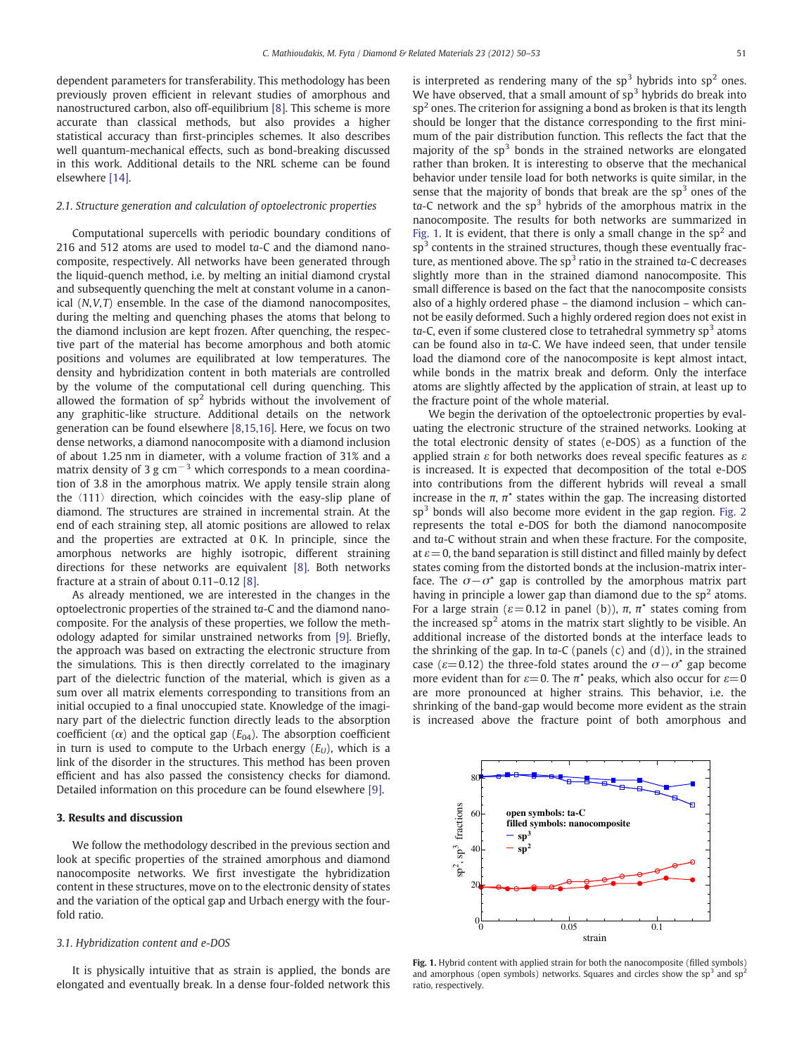<span id="page-1-0"></span>dependent parameters for transferability. This methodology has been previously proven efficient in relevant studies of amorphous and nanostructured carbon, also off-equilibrium [\[8\].](#page-3-0) This scheme is more accurate than classical methods, but also provides a higher statistical accuracy than first-principles schemes. It also describes well quantum-mechanical effects, such as bond-breaking discussed in this work. Additional details to the NRL scheme can be found elsewhere [\[14\].](#page-3-0)

#### 2.1. Structure generation and calculation of optoelectronic properties

Computational supercells with periodic boundary conditions of 216 and 512 atoms are used to model ta-C and the diamond nanocomposite, respectively. All networks have been generated through the liquid-quench method, i.e. by melting an initial diamond crystal and subsequently quenching the melt at constant volume in a canonical (N,V,T) ensemble. In the case of the diamond nanocomposites, during the melting and quenching phases the atoms that belong to the diamond inclusion are kept frozen. After quenching, the respective part of the material has become amorphous and both atomic positions and volumes are equilibrated at low temperatures. The density and hybridization content in both materials are controlled by the volume of the computational cell during quenching. This allowed the formation of  $sp^2$  hybrids without the involvement of any graphitic-like structure. Additional details on the network generation can be found elsewhere [\[8,15,16\]](#page-3-0). Here, we focus on two dense networks, a diamond nanocomposite with a diamond inclusion of about 1.25 nm in diameter, with a volume fraction of 31% and a matrix density of 3 g  $cm^{-3}$  which corresponds to a mean coordination of 3.8 in the amorphous matrix. We apply tensile strain along the 〈111〉 direction, which coincides with the easy-slip plane of diamond. The structures are strained in incremental strain. At the end of each straining step, all atomic positions are allowed to relax and the properties are extracted at 0 K. In principle, since the amorphous networks are highly isotropic, different straining directions for these networks are equivalent [\[8\]](#page-3-0). Both networks fracture at a strain of about 0.11–0.12 [\[8\]](#page-3-0).

As already mentioned, we are interested in the changes in the optoelectronic properties of the strained ta-C and the diamond nanocomposite. For the analysis of these properties, we follow the methodology adapted for similar unstrained networks from [\[9\].](#page-3-0) Briefly, the approach was based on extracting the electronic structure from the simulations. This is then directly correlated to the imaginary part of the dielectric function of the material, which is given as a sum over all matrix elements corresponding to transitions from an initial occupied to a final unoccupied state. Knowledge of the imaginary part of the dielectric function directly leads to the absorption coefficient ( $\alpha$ ) and the optical gap ( $E_{04}$ ). The absorption coefficient in turn is used to compute to the Urbach energy  $(E_U)$ , which is a link of the disorder in the structures. This method has been proven efficient and has also passed the consistency checks for diamond. Detailed information on this procedure can be found elsewhere [\[9\]](#page-3-0).

#### 3. Results and discussion

We follow the methodology described in the previous section and look at specific properties of the strained amorphous and diamond nanocomposite networks. We first investigate the hybridization content in these structures, move on to the electronic density of states and the variation of the optical gap and Urbach energy with the fourfold ratio.

#### 3.1. Hybridization content and e-DOS

It is physically intuitive that as strain is applied, the bonds are elongated and eventually break. In a dense four-folded network this is interpreted as rendering many of the  $sp<sup>3</sup>$  hybrids into  $sp<sup>2</sup>$  ones. We have observed, that a small amount of  $sp<sup>3</sup>$  hybrids do break into  $sp<sup>2</sup>$  ones. The criterion for assigning a bond as broken is that its length should be longer that the distance corresponding to the first minimum of the pair distribution function. This reflects the fact that the majority of the  $sp<sup>3</sup>$  bonds in the strained networks are elongated rather than broken. It is interesting to observe that the mechanical behavior under tensile load for both networks is quite similar, in the sense that the majority of bonds that break are the  $sp<sup>3</sup>$  ones of the  $ta-C$  network and the sp<sup>3</sup> hybrids of the amorphous matrix in the nanocomposite. The results for both networks are summarized in Fig. 1. It is evident, that there is only a small change in the  $sp<sup>2</sup>$  and  $sp<sup>3</sup>$  contents in the strained structures, though these eventually fracture, as mentioned above. The  $sp<sup>3</sup>$  ratio in the strained ta-C decreases slightly more than in the strained diamond nanocomposite. This small difference is based on the fact that the nanocomposite consists also of a highly ordered phase – the diamond inclusion – which cannot be easily deformed. Such a highly ordered region does not exist in ta-C, even if some clustered close to tetrahedral symmetry  $sp<sup>3</sup>$  atoms can be found also in ta-C. We have indeed seen, that under tensile load the diamond core of the nanocomposite is kept almost intact, while bonds in the matrix break and deform. Only the interface atoms are slightly affected by the application of strain, at least up to the fracture point of the whole material.

We begin the derivation of the optoelectronic properties by evaluating the electronic structure of the strained networks. Looking at the total electronic density of states (e-DOS) as a function of the applied strain  $\varepsilon$  for both networks does reveal specific features as  $\varepsilon$ is increased. It is expected that decomposition of the total e-DOS into contributions from the different hybrids will reveal a small increase in the  $\pi$ ,  $\pi^*$  states within the gap. The increasing distorted  $sp<sup>3</sup>$  bonds will also become more evident in the gap region. [Fig. 2](#page-2-0) represents the total e-DOS for both the diamond nanocomposite and ta-C without strain and when these fracture. For the composite, at  $\varepsilon$  = 0, the band separation is still distinct and filled mainly by defect states coming from the distorted bonds at the inclusion-matrix interface. The  $\sigma-\sigma^*$  gap is controlled by the amorphous matrix part having in principle a lower gap than diamond due to the  $sp<sup>2</sup>$  atoms. For a large strain ( $\varepsilon$  = 0.12 in panel (b)),  $\pi$ ,  $\pi^*$  states coming from the increased  $sp<sup>2</sup>$  atoms in the matrix start slightly to be visible. An additional increase of the distorted bonds at the interface leads to the shrinking of the gap. In ta-C (panels  $(c)$  and  $(d)$ ), in the strained case ( $\varepsilon$ =0.12) the three-fold states around the  $\sigma$ − $\sigma^*$  gap become more evident than for  $\varepsilon=0$ . The  $\pi^*$  peaks, which also occur for  $\varepsilon=0$ are more pronounced at higher strains. This behavior, i.e. the shrinking of the band-gap would become more evident as the strain is increased above the fracture point of both amorphous and



Fig. 1. Hybrid content with applied strain for both the nanocomposite (filled symbols) and amorphous (open symbols) networks. Squares and circles show the  $sp<sup>3</sup>$  and  $sp<sup>2</sup>$ ratio, respectively.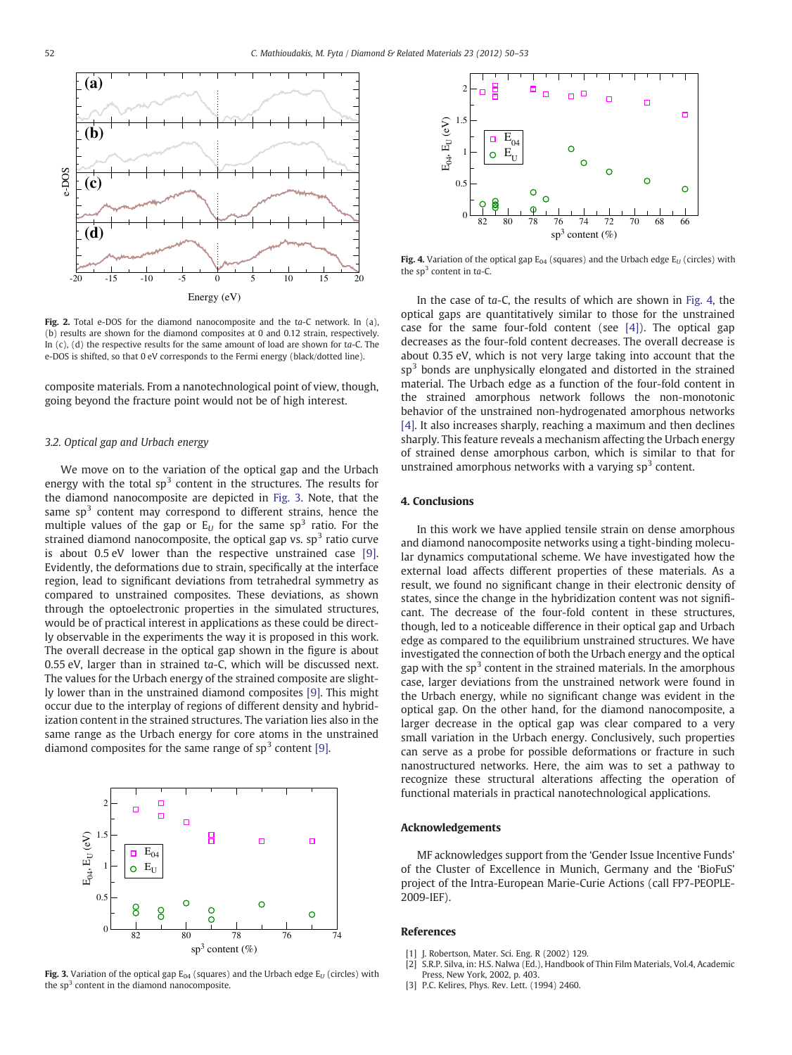<span id="page-2-0"></span>

Fig. 2. Total e-DOS for the diamond nanocomposite and the ta-C network. In (a), (b) results are shown for the diamond composites at 0 and 0.12 strain, respectively. In  $(c)$ ,  $(d)$  the respective results for the same amount of load are shown for ta-C. The e-DOS is shifted, so that 0 eV corresponds to the Fermi energy (black/dotted line).

composite materials. From a nanotechnological point of view, though, going beyond the fracture point would not be of high interest.

#### 3.2. Optical gap and Urbach energy

We move on to the variation of the optical gap and the Urbach energy with the total  $sp<sup>3</sup>$  content in the structures. The results for the diamond nanocomposite are depicted in Fig. 3. Note, that the same  $sp<sup>3</sup>$  content may correspond to different strains, hence the multiple values of the gap or  $E_U$  for the same sp<sup>3</sup> ratio. For the strained diamond nanocomposite, the optical gap vs.  $sp<sup>3</sup>$  ratio curve is about 0.5 eV lower than the respective unstrained case [\[9\].](#page-3-0) Evidently, the deformations due to strain, specifically at the interface region, lead to significant deviations from tetrahedral symmetry as compared to unstrained composites. These deviations, as shown through the optoelectronic properties in the simulated structures, would be of practical interest in applications as these could be directly observable in the experiments the way it is proposed in this work. The overall decrease in the optical gap shown in the figure is about 0.55 eV, larger than in strained ta-C, which will be discussed next. The values for the Urbach energy of the strained composite are slightly lower than in the unstrained diamond composites [\[9\]](#page-3-0). This might occur due to the interplay of regions of different density and hybridization content in the strained structures. The variation lies also in the same range as the Urbach energy for core atoms in the unstrained diamond composites for the same range of  $sp<sup>3</sup>$  content [\[9\]](#page-3-0).



Fig. 3. Variation of the optical gap  $E_{04}$  (squares) and the Urbach edge  $E_U$  (circles) with the  $s<sup>3</sup>$  content in the diamond nanocomposite.



Fig. 4. Variation of the optical gap  $E_{04}$  (squares) and the Urbach edge  $E_U$  (circles) with the  $sp^3$  content in ta-C.

In the case of ta-C, the results of which are shown in Fig. 4, the optical gaps are quantitatively similar to those for the unstrained case for the same four-fold content (see  $[4]$ ). The optical gap decreases as the four-fold content decreases. The overall decrease is about 0.35 eV, which is not very large taking into account that the  $sp<sup>3</sup>$  bonds are unphysically elongated and distorted in the strained material. The Urbach edge as a function of the four-fold content in the strained amorphous network follows the non-monotonic behavior of the unstrained non-hydrogenated amorphous networks [\[4\].](#page-3-0) It also increases sharply, reaching a maximum and then declines sharply. This feature reveals a mechanism affecting the Urbach energy of strained dense amorphous carbon, which is similar to that for unstrained amorphous networks with a varying  $sp<sup>3</sup>$  content.

### 4. Conclusions

In this work we have applied tensile strain on dense amorphous and diamond nanocomposite networks using a tight-binding molecular dynamics computational scheme. We have investigated how the external load affects different properties of these materials. As a result, we found no significant change in their electronic density of states, since the change in the hybridization content was not significant. The decrease of the four-fold content in these structures, though, led to a noticeable difference in their optical gap and Urbach edge as compared to the equilibrium unstrained structures. We have investigated the connection of both the Urbach energy and the optical gap with the  $sp<sup>3</sup>$  content in the strained materials. In the amorphous case, larger deviations from the unstrained network were found in the Urbach energy, while no significant change was evident in the optical gap. On the other hand, for the diamond nanocomposite, a larger decrease in the optical gap was clear compared to a very small variation in the Urbach energy. Conclusively, such properties can serve as a probe for possible deformations or fracture in such nanostructured networks. Here, the aim was to set a pathway to recognize these structural alterations affecting the operation of functional materials in practical nanotechnological applications.

#### Acknowledgements

MF acknowledges support from the 'Gender Issue Incentive Funds' of the Cluster of Excellence in Munich, Germany and the 'BioFuS' project of the Intra-European Marie-Curie Actions (call FP7-PEOPLE-2009-IEF).

#### References

- [1] J. Robertson, Mater. Sci. Eng. R (2002) 129.
- [2] S.R.P. Silva, in: H.S. Nalwa (Ed.), Handbook of Thin Film Materials, Vol.4, Academic Press, New York, 2002, p. 403. [3] P.C. Kelires, Phys. Rev. Lett. (1994) 2460.